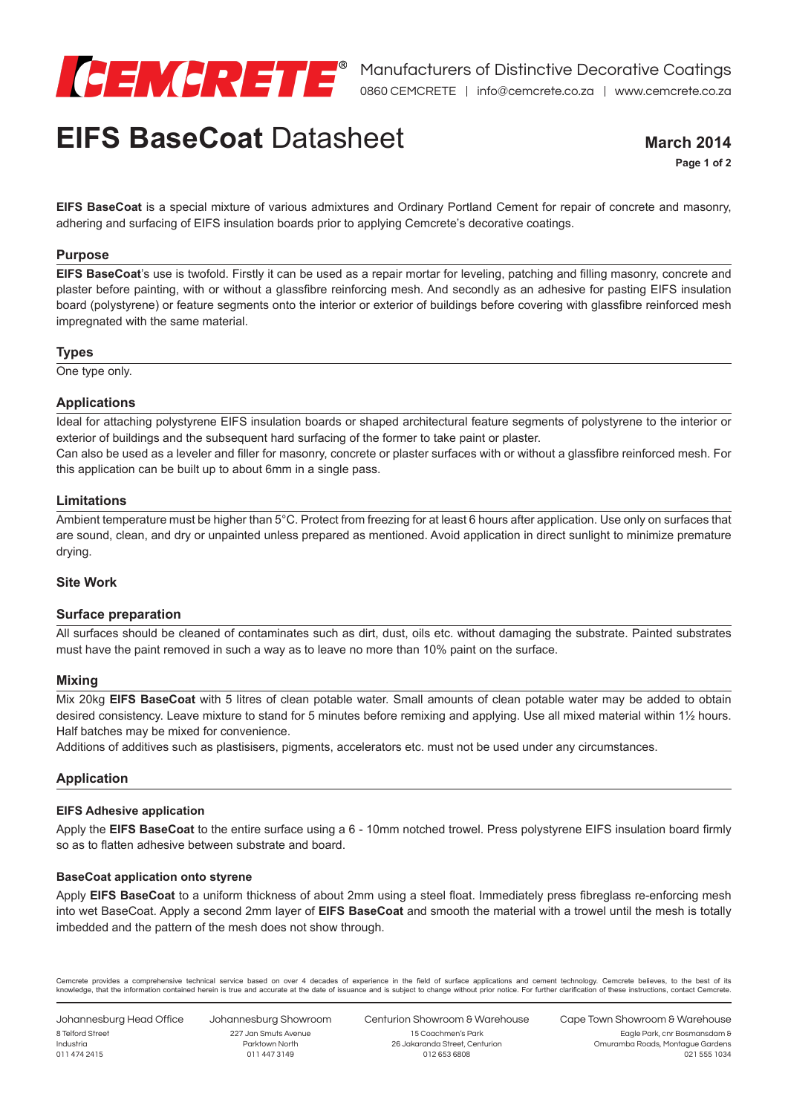

# **EIFS BaseCoat** Datasheet

**March 2014**

**Page 1 of 2**

**EIFS BaseCoat** is a special mixture of various admixtures and Ordinary Portland Cement for repair of concrete and masonry, adhering and surfacing of EIFS insulation boards prior to applying Cemcrete's decorative coatings.

## **Purpose**

**EIFS BaseCoat**'s use is twofold. Firstly it can be used as a repair mortar for leveling, patching and filling masonry, concrete and plaster before painting, with or without a glassfibre reinforcing mesh. And secondly as an adhesive for pasting EIFS insulation board (polystyrene) or feature segments onto the interior or exterior of buildings before covering with glassfibre reinforced mesh impregnated with the same material.

## **Types**

One type only.

## **Applications**

Ideal for attaching polystyrene EIFS insulation boards or shaped architectural feature segments of polystyrene to the interior or exterior of buildings and the subsequent hard surfacing of the former to take paint or plaster.

Can also be used as a leveler and filler for masonry, concrete or plaster surfaces with or without a glassfibre reinforced mesh. For this application can be built up to about 6mm in a single pass.

## **Limitations**

Ambient temperature must be higher than 5°C. Protect from freezing for at least 6 hours after application. Use only on surfaces that are sound, clean, and dry or unpainted unless prepared as mentioned. Avoid application in direct sunlight to minimize premature drying.

## **Site Work**

## **Surface preparation**

All surfaces should be cleaned of contaminates such as dirt, dust, oils etc. without damaging the substrate. Painted substrates must have the paint removed in such a way as to leave no more than 10% paint on the surface.

## **Mixing**

Mix 20kg **EIFS BaseCoat** with 5 litres of clean potable water. Small amounts of clean potable water may be added to obtain desired consistency. Leave mixture to stand for 5 minutes before remixing and applying. Use all mixed material within 1½ hours. Half batches may be mixed for convenience.

Additions of additives such as plastisisers, pigments, accelerators etc. must not be used under any circumstances.

# **Application**

## **EIFS Adhesive application**

Apply the **EIFS BaseCoat** to the entire surface using a 6 - 10mm notched trowel. Press polystyrene EIFS insulation board firmly so as to flatten adhesive between substrate and board.

## **BaseCoat application onto styrene**

Apply **EIFS BaseCoat** to a uniform thickness of about 2mm using a steel float. Immediately press fibreglass re-enforcing mesh into wet BaseCoat. Apply a second 2mm layer of **EIFS BaseCoat** and smooth the material with a trowel until the mesh is totally imbedded and the pattern of the mesh does not show through.

Cemcrete provides a comprehensive technical service based on over 4 decades of experience in the field of surface applications and cement technology. Cemcrete believes, to the best of its knowledge, that the information contained herein is true and accurate at the date of issuance and is subject to change without prior notice. For further clarification of these instructions, contact Cemcrete.

Johannesburg Head Office 8 Telford Street Industria 011 474 2415

Johannesburg Showroom 227 Jan Smuts Avenue Parktown North 011 447 3149

Centurion Showroom & Warehouse 15 Coachmen's Park 26 Jakaranda Street, Centurion 012 653 6808

Cape Town Showroom & Warehouse Eagle Park, cnr Bosmansdam &

> Omuramba Roads, Montague Gardens 021 555 1034